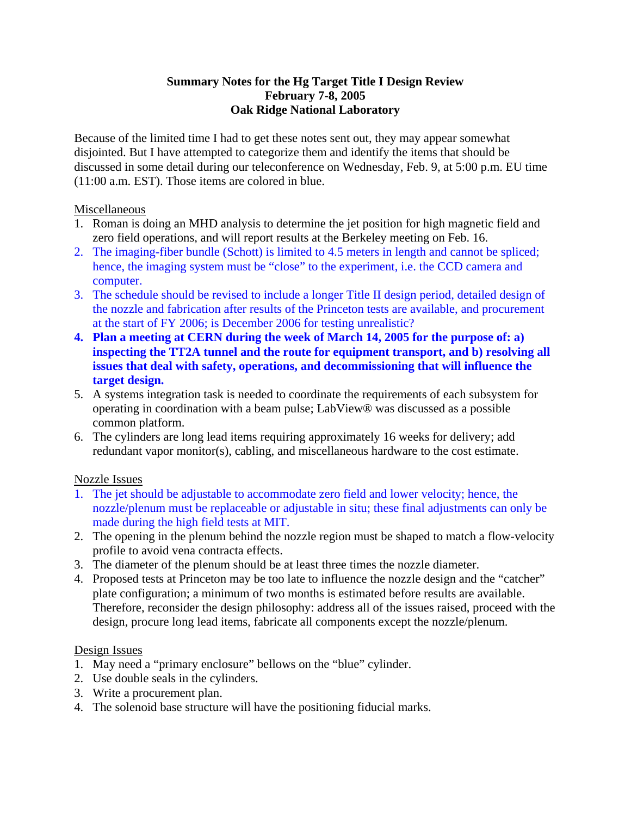### **Summary Notes for the Hg Target Title I Design Review February 7-8, 2005 Oak Ridge National Laboratory**

Because of the limited time I had to get these notes sent out, they may appear somewhat disjointed. But I have attempted to categorize them and identify the items that should be discussed in some detail during our teleconference on Wednesday, Feb. 9, at 5:00 p.m. EU time (11:00 a.m. EST). Those items are colored in blue.

### Miscellaneous

- 1. Roman is doing an MHD analysis to determine the jet position for high magnetic field and zero field operations, and will report results at the Berkeley meeting on Feb. 16.
- 2. The imaging-fiber bundle (Schott) is limited to 4.5 meters in length and cannot be spliced; hence, the imaging system must be "close" to the experiment, i.e. the CCD camera and computer.
- 3. The schedule should be revised to include a longer Title II design period, detailed design of the nozzle and fabrication after results of the Princeton tests are available, and procurement at the start of FY 2006; is December 2006 for testing unrealistic?
- **4. Plan a meeting at CERN during the week of March 14, 2005 for the purpose of: a) inspecting the TT2A tunnel and the route for equipment transport, and b) resolving all issues that deal with safety, operations, and decommissioning that will influence the target design.**
- 5. A systems integration task is needed to coordinate the requirements of each subsystem for operating in coordination with a beam pulse; LabView® was discussed as a possible common platform.
- 6. The cylinders are long lead items requiring approximately 16 weeks for delivery; add redundant vapor monitor(s), cabling, and miscellaneous hardware to the cost estimate.

# Nozzle Issues

- 1. The jet should be adjustable to accommodate zero field and lower velocity; hence, the nozzle/plenum must be replaceable or adjustable in situ; these final adjustments can only be made during the high field tests at MIT.
- 2. The opening in the plenum behind the nozzle region must be shaped to match a flow-velocity profile to avoid vena contracta effects.
- 3. The diameter of the plenum should be at least three times the nozzle diameter.
- 4. Proposed tests at Princeton may be too late to influence the nozzle design and the "catcher" plate configuration; a minimum of two months is estimated before results are available. Therefore, reconsider the design philosophy: address all of the issues raised, proceed with the design, procure long lead items, fabricate all components except the nozzle/plenum.

#### Design Issues

- 1. May need a "primary enclosure" bellows on the "blue" cylinder.
- 2. Use double seals in the cylinders.
- 3. Write a procurement plan.
- 4. The solenoid base structure will have the positioning fiducial marks.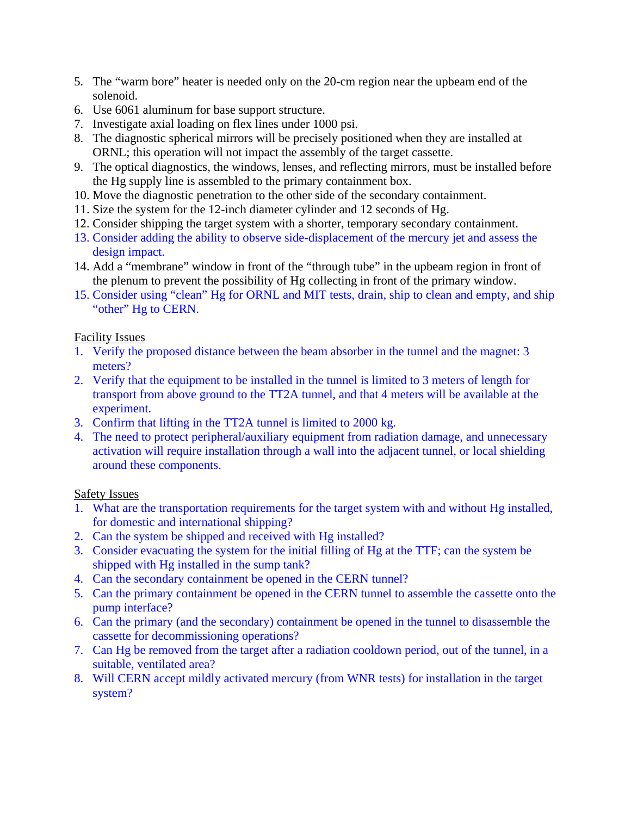- 5. The "warm bore" heater is needed only on the 20-cm region near the upbeam end of the solenoid.
- 6. Use 6061 aluminum for base support structure.
- 7. Investigate axial loading on flex lines under 1000 psi.
- 8. The diagnostic spherical mirrors will be precisely positioned when they are installed at ORNL; this operation will not impact the assembly of the target cassette.
- 9. The optical diagnostics, the windows, lenses, and reflecting mirrors, must be installed before the Hg supply line is assembled to the primary containment box.
- 10. Move the diagnostic penetration to the other side of the secondary containment.
- 11. Size the system for the 12-inch diameter cylinder and 12 seconds of Hg.
- 12. Consider shipping the target system with a shorter, temporary secondary containment.
- 13. Consider adding the ability to observe side-displacement of the mercury jet and assess the design impact.
- 14. Add a "membrane" window in front of the "through tube" in the upbeam region in front of the plenum to prevent the possibility of Hg collecting in front of the primary window.
- 15. Consider using "clean" Hg for ORNL and MIT tests, drain, ship to clean and empty, and ship "other" Hg to CERN.

# Facility Issues

- 1. Verify the proposed distance between the beam absorber in the tunnel and the magnet: 3 meters?
- 2. Verify that the equipment to be installed in the tunnel is limited to 3 meters of length for transport from above ground to the TT2A tunnel, and that 4 meters will be available at the experiment.
- 3. Confirm that lifting in the TT2A tunnel is limited to 2000 kg.
- 4. The need to protect peripheral/auxiliary equipment from radiation damage, and unnecessary activation will require installation through a wall into the adjacent tunnel, or local shielding around these components.

# Safety Issues

- 1. What are the transportation requirements for the target system with and without Hg installed, for domestic and international shipping?
- 2. Can the system be shipped and received with Hg installed?
- 3. Consider evacuating the system for the initial filling of Hg at the TTF; can the system be shipped with Hg installed in the sump tank?
- 4. Can the secondary containment be opened in the CERN tunnel?
- 5. Can the primary containment be opened in the CERN tunnel to assemble the cassette onto the pump interface?
- 6. Can the primary (and the secondary) containment be opened in the tunnel to disassemble the cassette for decommissioning operations?
- 7. Can Hg be removed from the target after a radiation cooldown period, out of the tunnel, in a suitable, ventilated area?
- 8. Will CERN accept mildly activated mercury (from WNR tests) for installation in the target system?